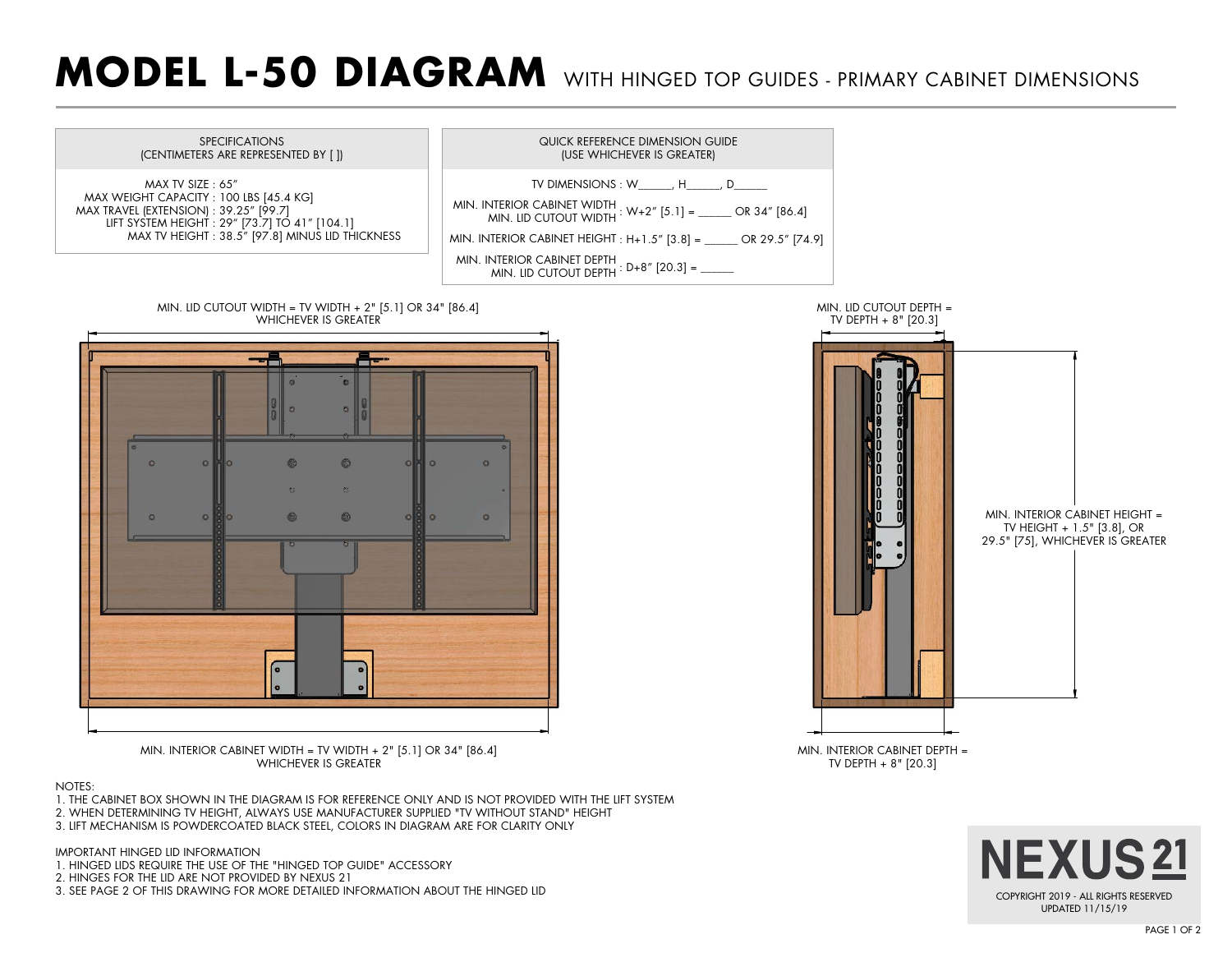## **MODEL L-50 DIAGRAM** WITH HINGED TOP GUIDES - PRIMARY CABINET DIMENSIONS



3. LIFT MECHANISM IS POWDERCOATED BLACK STEEL, COLORS IN DIAGRAM ARE FOR CLARITY ONLY

IMPORTANT HINGED LID INFORMATION

- 1. HINGED LIDS REQUIRE THE USE OF THE "HINGED TOP GUIDE" ACCESSORY
- 2. HINGES FOR THE LID ARE NOT PROVIDED BY NEXUS 21
- 3. SEE PAGE 2 OF THIS DRAWING FOR MORE DETAILED INFORMATION ABOUT THE HINGED LID

**NEXUS21**